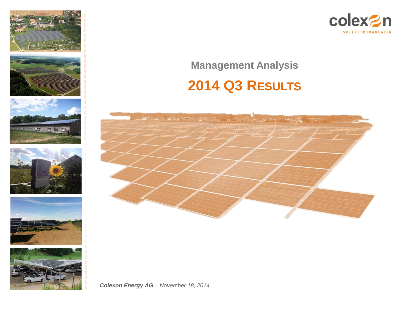













## **Management Analysis**

# **2014 Q3 RESULTS**

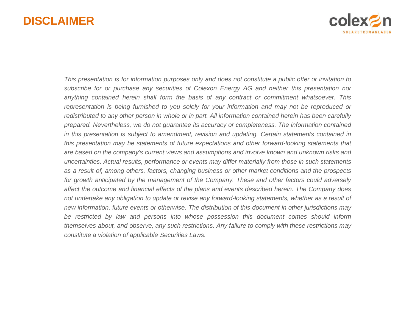## **DISCLAIMER**



This presentation is for information purposes only and does not constitute a public offer or invitation to *subscribe for or purchase any securities of Colexon Energy AG and neither this presentation nor anything contained herein shall form the basis of any contract or commitment whatsoever. This representation is being furnished to you solely for your information and may not be reproduced or* redistributed to any other person in whole or in part. All information contained herein has been carefully *prepared. Nevertheless, we do not guarantee its accuracy or completeness. The information contained in this presentation is subject to amendment, revision and updating. Certain statements contained in this presentation may be statements of future expectations and other forward-looking statements that are based on the company's current views and assumptions and involve known and unknown risks and uncertainties. Actual results, performance or events may differ materially from those in such statements as a result of, among others, factors, changing business or other market conditions and the prospects for growth anticipated by the management of the Company. These and other factors could adversely affect the outcome and financial effects of the plans and events described herein. The Company does not undertake any obligation to update or revise any forward-looking statements, whether as a result of new information, future events or otherwise. The distribution of this document in other jurisdictions may be restricted by law and persons into whose possession this document comes should inform themselves about, and observe, any such restrictions. Any failure to comply with these restrictions may constitute a violation of applicable Securities Laws.*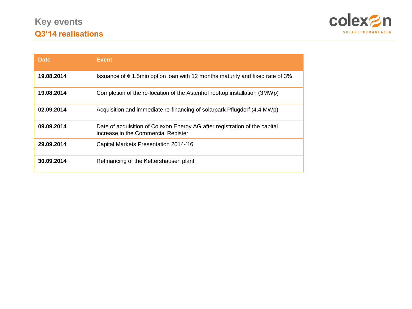

| <b>Date</b> | Event                                                                                                             |
|-------------|-------------------------------------------------------------------------------------------------------------------|
| 19.08.2014  | Issuance of €1.5mio option loan with 12 months maturity and fixed rate of 3%                                      |
| 19.08.2014  | Completion of the re-location of the Astenhof rooftop installation (3MWp)                                         |
| 02.09.2014  | Acquisition and immediate re-financing of solarpark Pflugdorf (4.4 MWp)                                           |
| 09.09.2014  | Date of acquisition of Colexon Energy AG after registration of the capital<br>increase in the Commercial Register |
| 29.09.2014  | Capital Markets Presentation 2014-'16                                                                             |
| 30.09.2014  | Refinancing of the Kettershausen plant                                                                            |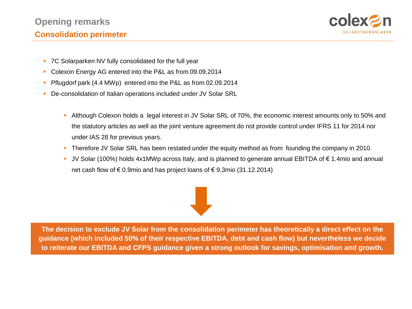## **Opening remarks**



### **Consolidation perimeter**

- **EDITP** 7C Solarparken NV fully consolidated for the full year
	- Colexon Energy AG entered into the P&L as from 09.09.2014
	- Pflugdorf park (4.4 MWp) entered into the P&L as from 02.09.2014
	- De-consolidation of Italian operations included under JV Solar SRL
		- Although Colexon holds a legal interest in JV Solar SRL of 70%, the economic interest amounts only to 50% and the statutory articles as well as the joint venture agreement do not provide control under IFRS 11 for 2014 nor under IAS 28 for previous years.
		- Therefore JV Solar SRL has been restated under the equity method as from founding the company in 2010.
		- JV Solar (100%) holds 4x1MWp across Italy, and is planned to generate annual EBITDA of € 1.4mio and annual net cash flow of € 0.9mio and has project loans of € 9.3mio (31.12.2014)

**The decision to exclude JV Solar from the consolidation perimeter has theoretically a direct effect on the guidance (which included 50% of their respective EBITDA, debt and cash flow) but nevertheless we decide to reiterate our EBITDA and CFPS guidance given a strong outlook for savings, optimisation and growth.**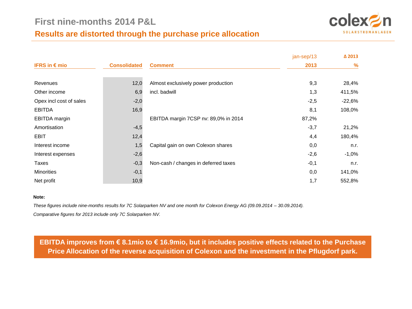## **Results are distorted through the purchase price allocation**



|                         |                     |                                      | jan-sep/13 | △ 2013   |
|-------------------------|---------------------|--------------------------------------|------------|----------|
| IFRS in $\epsilon$ mio  | <b>Consolidated</b> | <b>Comment</b>                       | 2013       | $\%$     |
|                         |                     |                                      |            |          |
| Revenues                | 12,0                | Almost exclusively power production  | 9,3        | 28,4%    |
| Other income            | 6,9                 | incl. badwill                        | 1,3        | 411,5%   |
| Opex incl cost of sales | $-2,0$              |                                      | $-2,5$     | $-22,6%$ |
| <b>EBITDA</b>           | 16,9                |                                      | 8,1        | 108,0%   |
| <b>EBITDA</b> margin    |                     | EBITDA margin 7CSP nv: 89,0% in 2014 | 87,2%      |          |
| Amortisation            | $-4,5$              |                                      | $-3,7$     | 21,2%    |
| EBIT                    | 12,4                |                                      | 4,4        | 180,4%   |
| Interest income         | 1,5                 | Capital gain on own Colexon shares   | 0,0        | n.r.     |
| Interest expenses       | $-2,6$              |                                      | $-2,6$     | $-1,0\%$ |
| Taxes                   | $-0,3$              | Non-cash / changes in deferred taxes | $-0,1$     | n.r.     |
| <b>Minorities</b>       | $-0,1$              |                                      | 0,0        | 141,0%   |
| Net profit              | 10,9                |                                      | 1,7        | 552,8%   |

#### **Note:**

*These figures include nine-months results for 7C Solarparken NV and one month for Colexon Energy AG (09.09.2014 – 30.09.2014). Comparative figures for 2013 include only 7C Solarparken NV.*

**EBITDA improves from € 8.1mio to € 16.9mio, but it includes positive effects related to the Purchase Price Allocation of the reverse acquisition of Colexon and the investment in the Pflugdorf park.**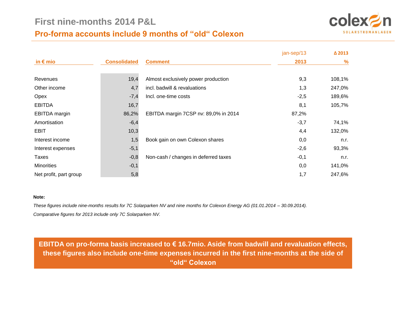## **Pro-forma accounts include 9 months of "old" Colexon**



|                        |                     |                                      | jan-sep/13 | △ 2013 |
|------------------------|---------------------|--------------------------------------|------------|--------|
| in $\epsilon$ mio      | <b>Consolidated</b> | <b>Comment</b>                       | 2013       | $\%$   |
| Revenues               | 19,4                | Almost exclusively power production  | 9,3        | 108,1% |
| Other income           | 4,7                 | incl. badwill & revaluations         | 1,3        | 247,0% |
| Opex                   | $-7,4$              | Incl. one-time costs                 | $-2,5$     | 189,6% |
| <b>EBITDA</b>          | 16,7                |                                      | 8,1        | 105,7% |
| <b>EBITDA</b> margin   | 86,2%               | EBITDA margin 7CSP nv: 89,0% in 2014 | 87,2%      |        |
| Amortisation           | $-6,4$              |                                      | $-3,7$     | 74,1%  |
| <b>EBIT</b>            | 10,3                |                                      | 4,4        | 132,0% |
| Interest income        | 1,5                 | Book gain on own Colexon shares      | 0,0        | n.r.   |
| Interest expenses      | $-5,1$              |                                      | $-2,6$     | 93,3%  |
| Taxes                  | $-0,8$              | Non-cash / changes in deferred taxes | $-0,1$     | n.r.   |
| <b>Minorities</b>      | $-0,1$              |                                      | 0,0        | 141,0% |
| Net profit, part group | 5,8                 |                                      | 1,7        | 247,6% |

#### **Note:**

*These figures include nine-months results for 7C Solarparken NV and nine months for Colexon Energy AG (01.01.2014 – 30.09.2014). Comparative figures for 2013 include only 7C Solarparken NV.*

**EBITDA on pro-forma basis increased to € 16.7mio. Aside from badwill and revaluation effects, these figures also include one-time expenses incurred in the first nine-months at the side of "old" Colexon**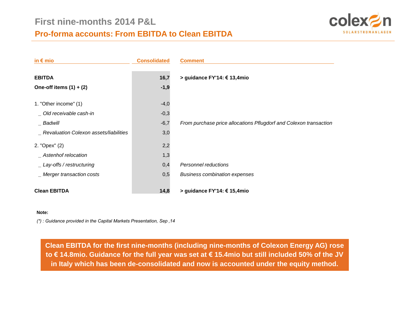

| in $\epsilon$ mio                          | <b>Consolidated</b> | <b>Comment</b>                                                    |
|--------------------------------------------|---------------------|-------------------------------------------------------------------|
| <b>EBITDA</b><br>One-off items $(1) + (2)$ | 16,7<br>$-1,9$      | > guidance FY'14: € 13,4mio                                       |
| 1. "Other income" (1)                      | $-4,0$              |                                                                   |
| Old receivable cash-in                     | $-0,3$              |                                                                   |
| Badwill                                    | $-6,7$              | From purchase price allocations Pflugdorf and Colexon transaction |
| Revaluation Colexon assets/liabilities     | 3,0                 |                                                                   |
| 2. "Opex" (2)                              | 2,2                 |                                                                   |
| Astenhof relocation                        | 1,3                 |                                                                   |
| Lay-offs / restructuring                   | 0,4                 | Personnel reductions                                              |
| _ Merger transaction costs                 | 0,5                 | <b>Business combination expenses</b>                              |
| <b>Clean EBITDA</b>                        | 14,8                | > guidance FY'14: € 15,4mio                                       |

#### **Note:**

*(\*) : Guidance provided in the Capital Markets Presentation, Sep '14*

**Clean EBITDA for the first nine-months (including nine-months of Colexon Energy AG) rose to € 14.8mio. Guidance for the full year was set at € 15.4mio but still included 50% of the JV in Italy which has been de-consolidated and now is accounted under the equity method.**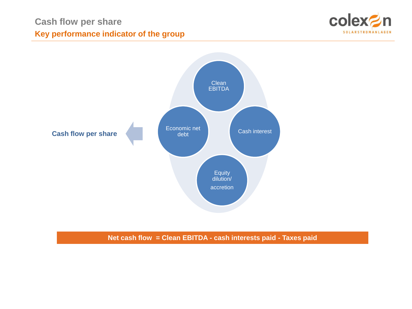



**Net cash flow = Clean EBITDA - cash interests paid - Taxes paid**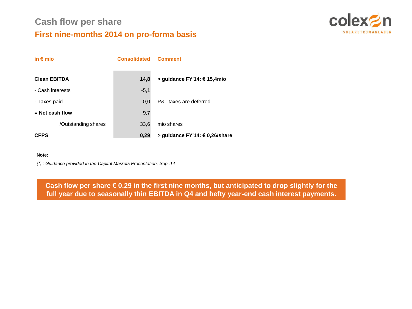

## **First nine-months 2014 on pro-forma basis**

| in $\epsilon$ mio   | <b>Consolidated</b> | <b>Comment</b>                 |
|---------------------|---------------------|--------------------------------|
|                     |                     |                                |
| <b>Clean EBITDA</b> | 14,8                | > guidance FY'14: € 15,4mio    |
| - Cash interests    | $-5,1$              |                                |
| - Taxes paid        | 0.0                 | P&L taxes are deferred         |
| $=$ Net cash flow   | 9,7                 |                                |
| /Outstanding shares | 33,6                | mio shares                     |
| <b>CFPS</b>         | 0,29                | > guidance FY'14: € 0,26/share |

#### **Note:**

*(\*) : Guidance provided in the Capital Markets Presentation, Sep '14*

**Cash flow per share € 0.29 in the first nine months, but anticipated to drop slightly for the full year due to seasonally thin EBITDA in Q4 and hefty year-end cash interest payments.**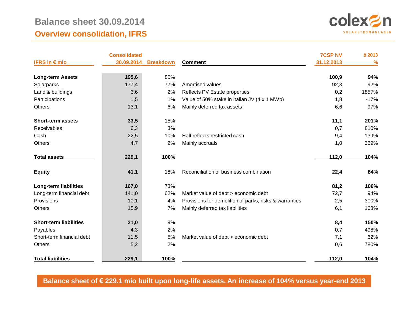## **Balance sheet 30.09.2014 Overview consolidation, IFRS**



|                               | <b>Consolidated</b> |                  |                                                        | <b>7CSP NV</b> | △ 2013        |
|-------------------------------|---------------------|------------------|--------------------------------------------------------|----------------|---------------|
| IFRS in $\epsilon$ mio        | 30.09.2014          | <b>Breakdown</b> | <b>Comment</b>                                         | 31.12.2013     | $\frac{9}{6}$ |
| <b>Long-term Assets</b>       | 195,6               | 85%              |                                                        | 100,9          | 94%           |
| Solarparks                    | 177,4               | 77%              | Amortised values                                       | 92,3           | 92%           |
| Land & buildings              | 3,6                 | 2%               | Reflects PV Estate properties                          | 0,2            | 1857%         |
| Participations                | 1,5                 | 1%               | Value of 50% stake in Italian JV (4 x 1 MWp)           | 1,8            | $-17%$        |
| <b>Others</b>                 | 13,1                | 6%               | Mainly deferred tax assets                             | 6,6            | 97%           |
| <b>Short-term assets</b>      | 33,5                | 15%              |                                                        | 11,1           | 201%          |
| Receivables                   | 6,3                 | 3%               |                                                        | 0,7            | 810%          |
| Cash                          | 22,5                | 10%              | Half reflects restricted cash                          | 9,4            | 139%          |
| <b>Others</b>                 | 4,7                 | 2%               | Mainly accruals                                        | 1,0            | 369%          |
| <b>Total assets</b>           | 229,1               | 100%             |                                                        | 112,0          | 104%          |
| <b>Equity</b>                 | 41,1                | 18%              | Reconciliation of business combination                 | 22,4           | 84%           |
| <b>Long-term liabilities</b>  | 167,0               | 73%              |                                                        | 81,2           | 106%          |
| Long-term financial debt      | 141,0               | 62%              | Market value of debt > economic debt                   | 72,7           | 94%           |
| Provisions                    | 10,1                | 4%               | Provisions for demolition of parks, risks & warranties | 2,5            | 300%          |
| <b>Others</b>                 | 15,9                | 7%               | Mainly deferred tax liabilities                        | 6,1            | 163%          |
| <b>Short-term liabilities</b> | 21,0                | 9%               |                                                        | 8,4            | 150%          |
| Payables                      | 4,3                 | 2%               |                                                        | 0,7            | 498%          |
| Short-term financial debt     | 11,5                | 5%               | Market value of debt > economic debt                   | 7,1            | 62%           |
| <b>Others</b>                 | 5,2                 | 2%               |                                                        | 0,6            | 780%          |
| <b>Total liabilities</b>      | 229,1               | 100%             |                                                        | 112,0          | 104%          |

**Balance sheet of € 229.1 mio built upon long-life assets. An increase of 104% versus year-end 2013**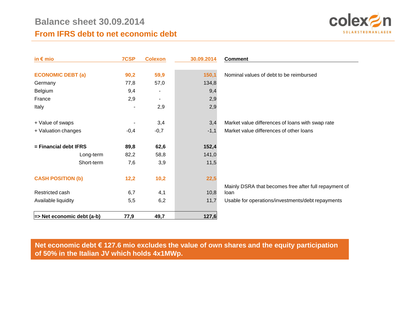

## **From IFRS debt to net economic debt**

| in $\epsilon$ mio                | 7CSP   | <b>Colexon</b>           | 30.09.2014 | <b>Comment</b>                                        |
|----------------------------------|--------|--------------------------|------------|-------------------------------------------------------|
|                                  |        |                          |            |                                                       |
| <b>ECONOMIC DEBT (a)</b>         | 90,2   | 59,9                     | 150,1      | Nominal values of debt to be reimbursed               |
| Germany                          | 77,8   | 57,0                     | 134,8      |                                                       |
| Belgium                          | 9,4    | $\overline{\phantom{0}}$ | 9,4        |                                                       |
| France                           | 2,9    |                          | 2,9        |                                                       |
| Italy                            |        | 2,9                      | 2,9        |                                                       |
|                                  |        |                          |            |                                                       |
| + Value of swaps                 |        | 3,4                      | 3,4        | Market value differences of loans with swap rate      |
| + Valuation changes              | $-0,4$ | $-0,7$                   | $-1,1$     | Market value differences of other loans               |
|                                  |        |                          |            |                                                       |
| $=$ Financial debt IFRS          | 89,8   | 62,6                     | 152,4      |                                                       |
| Long-term                        | 82,2   | 58,8                     | 141,0      |                                                       |
| Short-term                       | 7,6    | 3,9                      | 11,5       |                                                       |
|                                  |        |                          |            |                                                       |
| <b>CASH POSITION (b)</b>         | 12,2   | 10,2                     | 22,5       |                                                       |
|                                  |        |                          |            | Mainly DSRA that becomes free after full repayment of |
| Restricted cash                  | 6,7    | 4,1                      | 10,8       | loan                                                  |
| Available liquidity              | 5,5    | 6,2                      | 11,7       | Usable for operations/investments/debt repayments     |
|                                  |        |                          |            |                                                       |
| $\equiv$ Net economic debt (a-b) | 77,9   | 49,7                     | 127,6      |                                                       |

### **Net economic debt € 127.6 mio excludes the value of own shares and the equity participation of 50% in the Italian JV which holds 4x1MWp.**